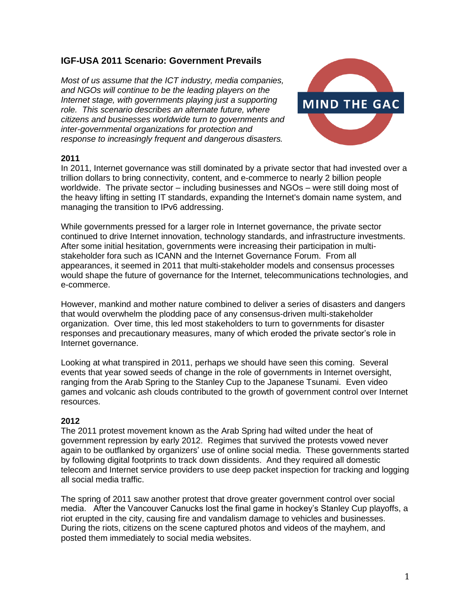# **IGF-USA 2011 Scenario: Government Prevails**

*Most of us assume that the ICT industry, media companies, and NGOs will continue to be the leading players on the Internet stage, with governments playing just a supporting role. This scenario describes an alternate future, where citizens and businesses worldwide turn to governments and inter-governmental organizations for protection and response to increasingly frequent and dangerous disasters.*



### **2011**

In 2011, Internet governance was still dominated by a private sector that had invested over a trillion dollars to bring connectivity, content, and e-commerce to nearly 2 billion people worldwide. The private sector – including businesses and NGOs – were still doing most of the heavy lifting in setting IT standards, expanding the Internet's domain name system, and managing the transition to IPv6 addressing.

While governments pressed for a larger role in Internet governance, the private sector continued to drive Internet innovation, technology standards, and infrastructure investments. After some initial hesitation, governments were increasing their participation in multistakeholder fora such as ICANN and the Internet Governance Forum. From all appearances, it seemed in 2011 that multi-stakeholder models and consensus processes would shape the future of governance for the Internet, telecommunications technologies, and e-commerce.

However, mankind and mother nature combined to deliver a series of disasters and dangers that would overwhelm the plodding pace of any consensus-driven multi-stakeholder organization. Over time, this led most stakeholders to turn to governments for disaster responses and precautionary measures, many of which eroded the private sector's role in Internet governance.

Looking at what transpired in 2011, perhaps we should have seen this coming. Several events that year sowed seeds of change in the role of governments in Internet oversight, ranging from the Arab Spring to the Stanley Cup to the Japanese Tsunami. Even video games and volcanic ash clouds contributed to the growth of government control over Internet resources.

## **2012**

The 2011 protest movement known as the Arab Spring had wilted under the heat of government repression by early 2012. Regimes that survived the protests vowed never again to be outflanked by organizers' use of online social media. These governments started by following digital footprints to track down dissidents. And they required all domestic telecom and Internet service providers to use deep packet inspection for tracking and logging all social media traffic.

The spring of 2011 saw another protest that drove greater government control over social media. After the Vancouver Canucks lost the final game in hockey's Stanley Cup playoffs, a riot erupted in the city, causing fire and vandalism damage to vehicles and businesses. During the riots, citizens on the scene captured photos and videos of the mayhem, and posted them immediately to social media websites.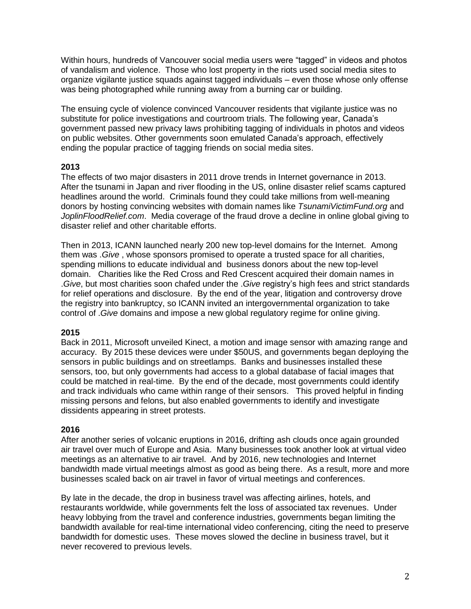Within hours, hundreds of Vancouver social media users were "tagged" in videos and photos of vandalism and violence. Those who lost property in the riots used social media sites to organize vigilante justice squads against tagged individuals – even those whose only offense was being photographed while running away from a burning car or building.

The ensuing cycle of violence convinced Vancouver residents that vigilante justice was no substitute for police investigations and courtroom trials. The following year, Canada's government passed new privacy laws prohibiting tagging of individuals in photos and videos on public websites. Other governments soon emulated Canada's approach, effectively ending the popular practice of tagging friends on social media sites.

## **2013**

The effects of two major disasters in 2011 drove trends in Internet governance in 2013. After the tsunami in Japan and river flooding in the US, online disaster relief scams captured headlines around the world. Criminals found they could take millions from well-meaning donors by hosting convincing websites with domain names like *TsunamiVictimFund.org* and *JoplinFloodRelief.com*. Media coverage of the fraud drove a decline in online global giving to disaster relief and other charitable efforts.

Then in 2013, ICANN launched nearly 200 new top-level domains for the Internet. Among them was .*Give* , whose sponsors promised to operate a trusted space for all charities, spending millions to educate individual and business donors about the new top-level domain. Charities like the Red Cross and Red Crescent acquired their domain names in .*Give*, but most charities soon chafed under the .*Give* registry's high fees and strict standards for relief operations and disclosure. By the end of the year, litigation and controversy drove the registry into bankruptcy, so ICANN invited an intergovernmental organization to take control of .*Give* domains and impose a new global regulatory regime for online giving.

## **2015**

Back in 2011, Microsoft unveiled Kinect, a motion and image sensor with amazing range and accuracy. By 2015 these devices were under \$50US, and governments began deploying the sensors in public buildings and on streetlamps. Banks and businesses installed these sensors, too, but only governments had access to a global database of facial images that could be matched in real-time. By the end of the decade, most governments could identify and track individuals who came within range of their sensors. This proved helpful in finding missing persons and felons, but also enabled governments to identify and investigate dissidents appearing in street protests.

## **2016**

After another series of volcanic eruptions in 2016, drifting ash clouds once again grounded air travel over much of Europe and Asia. Many businesses took another look at virtual video meetings as an alternative to air travel. And by 2016, new technologies and Internet bandwidth made virtual meetings almost as good as being there. As a result, more and more businesses scaled back on air travel in favor of virtual meetings and conferences.

By late in the decade, the drop in business travel was affecting airlines, hotels, and restaurants worldwide, while governments felt the loss of associated tax revenues. Under heavy lobbying from the travel and conference industries, governments began limiting the bandwidth available for real-time international video conferencing, citing the need to preserve bandwidth for domestic uses. These moves slowed the decline in business travel, but it never recovered to previous levels.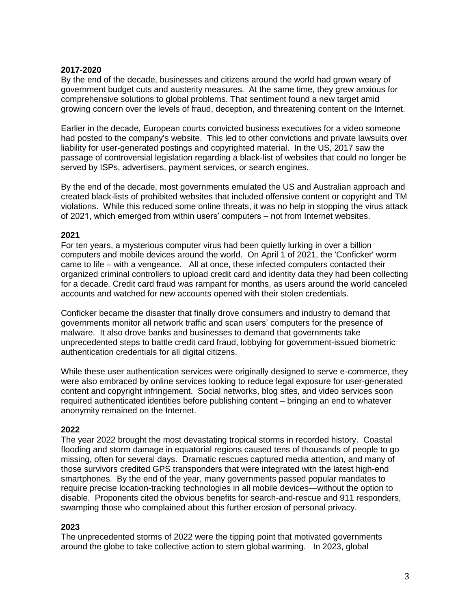#### **2017-2020**

By the end of the decade, businesses and citizens around the world had grown weary of government budget cuts and austerity measures. At the same time, they grew anxious for comprehensive solutions to global problems. That sentiment found a new target amid growing concern over the levels of fraud, deception, and threatening content on the Internet.

Earlier in the decade, European courts convicted business executives for a video someone had posted to the company's website. This led to other convictions and private lawsuits over liability for user-generated postings and copyrighted material. In the US, 2017 saw the passage of controversial legislation regarding a black-list of websites that could no longer be served by ISPs, advertisers, payment services, or search engines.

By the end of the decade, most governments emulated the US and Australian approach and created black-lists of prohibited websites that included offensive content or copyright and TM violations. While this reduced some online threats, it was no help in stopping the virus attack of 2021, which emerged from within users' computers – not from Internet websites.

## **2021**

For ten years, a mysterious computer virus had been quietly lurking in over a billion computers and mobile devices around the world. On April 1 of 2021, the 'Conficker' worm came to life – with a vengeance. All at once, these infected computers contacted their organized criminal controllers to upload credit card and identity data they had been collecting for a decade. Credit card fraud was rampant for months, as users around the world canceled accounts and watched for new accounts opened with their stolen credentials.

Conficker became the disaster that finally drove consumers and industry to demand that governments monitor all network traffic and scan users' computers for the presence of malware. It also drove banks and businesses to demand that governments take unprecedented steps to battle credit card fraud, lobbying for government-issued biometric authentication credentials for all digital citizens.

While these user authentication services were originally designed to serve e-commerce, they were also embraced by online services looking to reduce legal exposure for user-generated content and copyright infringement. Social networks, blog sites, and video services soon required authenticated identities before publishing content – bringing an end to whatever anonymity remained on the Internet.

## **2022**

The year 2022 brought the most devastating tropical storms in recorded history. Coastal flooding and storm damage in equatorial regions caused tens of thousands of people to go missing, often for several days. Dramatic rescues captured media attention, and many of those survivors credited GPS transponders that were integrated with the latest high-end smartphones. By the end of the year, many governments passed popular mandates to require precise location-tracking technologies in all mobile devices—without the option to disable. Proponents cited the obvious benefits for search-and-rescue and 911 responders, swamping those who complained about this further erosion of personal privacy.

#### **2023**

The unprecedented storms of 2022 were the tipping point that motivated governments around the globe to take collective action to stem global warming. In 2023, global